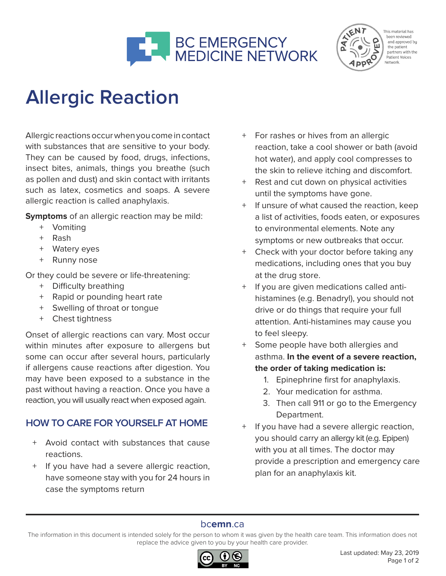



This material has been reviewed and approved by the patient partners with the Patient Voices Network.

# **Allergic Reaction**

Allergic reactions occur when you come in contact with substances that are sensitive to your body. They can be caused by food, drugs, infections, insect bites, animals, things you breathe (such as pollen and dust) and skin contact with irritants such as latex, cosmetics and soaps. A severe allergic reaction is called anaphylaxis.

**Symptoms** of an allergic reaction may be mild:

- + Vomiting
- + Rash
- + Watery eyes
- + Runny nose

Or they could be severe or life-threatening:

- + Difficulty breathing
- + Rapid or pounding heart rate
- + Swelling of throat or tongue
- + Chest tightness

Onset of allergic reactions can vary. Most occur within minutes after exposure to allergens but some can occur after several hours, particularly if allergens cause reactions after digestion. You may have been exposed to a substance in the past without having a reaction. Once you have a reaction, you will usually react when exposed again.

## **HOW TO CARE FOR YOURSELF AT HOME**

- + Avoid contact with substances that cause reactions.
- + If you have had a severe allergic reaction, have someone stay with you for 24 hours in case the symptoms return
- + For rashes or hives from an allergic reaction, take a cool shower or bath (avoid hot water), and apply cool compresses to the skin to relieve itching and discomfort.
- + Rest and cut down on physical activities until the symptoms have gone.
- + If unsure of what caused the reaction, keep a list of activities, foods eaten, or exposures to environmental elements. Note any symptoms or new outbreaks that occur.
- + Check with your doctor before taking any medications, including ones that you buy at the drug store.
- + If you are given medications called antihistamines (e.g. Benadryl), you should not drive or do things that require your full attention. Anti-histamines may cause you to feel sleepy.
- + Some people have both allergies and asthma. **In the event of a severe reaction, the order of taking medication is:** 
	- 1. Epinephrine first for anaphylaxis.
	- 2. Your medication for asthma.
	- 3. Then call 911 or go to the Emergency Department.
- + If you have had a severe allergic reaction, you should carry an allergy kit (e.g. Epipen) with you at all times. The doctor may provide a prescription and emergency care plan for an anaphylaxis kit.

## bc**emn**.ca

The information in this document is intended solely for the person to whom it was given by the health care team. This information does not replace the advice given to you by your health care provider.